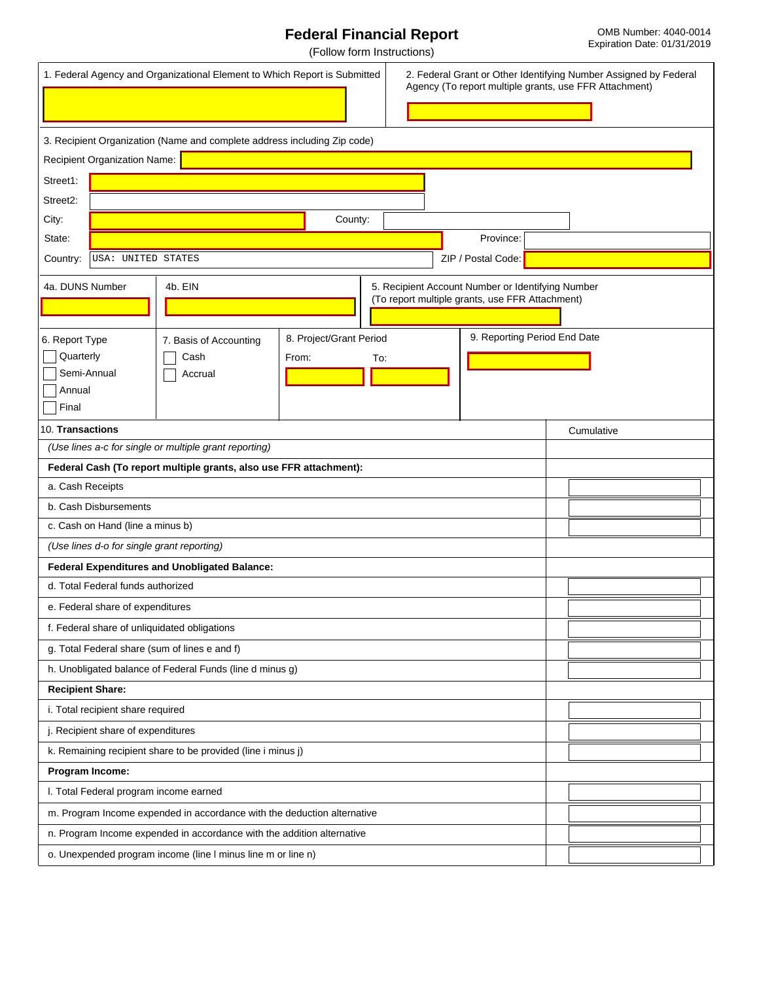| <b>View Burden Statement</b>                                                                                                                                                                            |                                                                        | $\times$<br><b>Federal Financial Report</b> | (Follow form Instructions) |                              | OMB Number: 4040-0014<br>Expiration Date: 01/31/2019 |
|---------------------------------------------------------------------------------------------------------------------------------------------------------------------------------------------------------|------------------------------------------------------------------------|---------------------------------------------|----------------------------|------------------------------|------------------------------------------------------|
| 1. Federal Agency and Organizational Element to Which Report is Submitted<br>2. Federal Grant or Other Identifying Number Assigned by Federal<br>Agency (To report multiple grants, use FFR Attachment) |                                                                        |                                             |                            |                              |                                                      |
| 3. Recipient Organization (Name and complete address including Zip code)<br>Recipient Organization Name:<br>Street1:<br>Street2:<br>City:<br>County:<br>Province:<br>State:<br>$\vert \vert$            |                                                                        |                                             |                            |                              |                                                      |
| USA: UNITED STATES<br>Country:                                                                                                                                                                          |                                                                        |                                             |                            | ZIP / Postal Code:           |                                                      |
| 4a. DUNS Number<br>4b. EIN<br>5. Recipient Account Number or Identifying Number<br>(To report multiple grants, use FFR Attachment)                                                                      |                                                                        |                                             |                            |                              |                                                      |
| 6. Report Type<br>Quarterly<br>Semi-Annual<br>Annual<br>Final                                                                                                                                           | 7. Basis of Accounting<br>Cash<br>Accrual                              | 8. Project/Grant Period<br>From:            | To:                        | 9. Reporting Period End Date |                                                      |
| 10. Transactions                                                                                                                                                                                        |                                                                        |                                             |                            |                              | Cumulative                                           |
|                                                                                                                                                                                                         | (Use lines a-c for single or multiple grant reporting)                 |                                             |                            |                              |                                                      |
|                                                                                                                                                                                                         | Federal Cash (To report multiple grants, also use FFR attachment):     |                                             |                            |                              |                                                      |
| a. Cash Receipts                                                                                                                                                                                        |                                                                        |                                             |                            |                              |                                                      |
| b. Cash Disbursements<br>c. Cash on Hand (line a minus b)                                                                                                                                               |                                                                        |                                             |                            |                              |                                                      |
| (Use lines d-o for single grant reporting)                                                                                                                                                              |                                                                        |                                             |                            |                              |                                                      |
| <b>Federal Expenditures and Unobligated Balance:</b>                                                                                                                                                    |                                                                        |                                             |                            |                              |                                                      |
| d. Total Federal funds authorized                                                                                                                                                                       |                                                                        |                                             |                            |                              |                                                      |
| e. Federal share of expenditures                                                                                                                                                                        |                                                                        |                                             |                            |                              |                                                      |
| f. Federal share of unliquidated obligations                                                                                                                                                            |                                                                        |                                             |                            |                              |                                                      |
| g. Total Federal share (sum of lines e and f)                                                                                                                                                           |                                                                        |                                             |                            |                              |                                                      |
| h. Unobligated balance of Federal Funds (line d minus g)                                                                                                                                                |                                                                        |                                             |                            |                              |                                                      |
| <b>Recipient Share:</b>                                                                                                                                                                                 |                                                                        |                                             |                            |                              |                                                      |
| i. Total recipient share required                                                                                                                                                                       |                                                                        |                                             |                            |                              |                                                      |
| j. Recipient share of expenditures                                                                                                                                                                      |                                                                        |                                             |                            |                              |                                                      |
| k. Remaining recipient share to be provided (line i minus j)                                                                                                                                            |                                                                        |                                             |                            |                              |                                                      |
| Program Income:                                                                                                                                                                                         |                                                                        |                                             |                            |                              |                                                      |
| I. Total Federal program income earned                                                                                                                                                                  |                                                                        |                                             |                            |                              |                                                      |
| m. Program Income expended in accordance with the deduction alternative                                                                                                                                 |                                                                        |                                             |                            |                              |                                                      |
|                                                                                                                                                                                                         | n. Program Income expended in accordance with the addition alternative |                                             |                            |                              |                                                      |
|                                                                                                                                                                                                         | o. Unexpended program income (line I minus line m or line n)           |                                             |                            |                              |                                                      |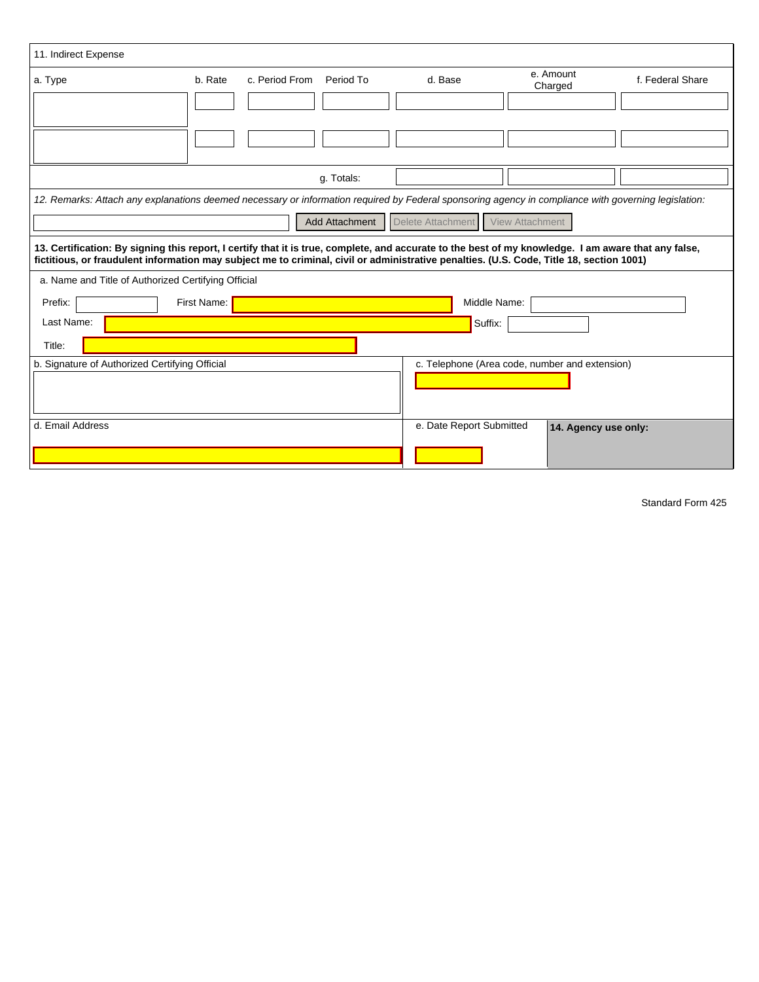$\bar{\mathsf{x}}$ 

| 11. Indirect Expense                                                                                                                                                                                                                                                                             |                                                                                                                                                      |                |                       |                   |                          |                          |                  |
|--------------------------------------------------------------------------------------------------------------------------------------------------------------------------------------------------------------------------------------------------------------------------------------------------|------------------------------------------------------------------------------------------------------------------------------------------------------|----------------|-----------------------|-------------------|--------------------------|--------------------------|------------------|
| a. Type                                                                                                                                                                                                                                                                                          | b. Rate                                                                                                                                              | c. Period From | Period To             | d. Base           |                          | e. Amount<br>Charged     | f. Federal Share |
|                                                                                                                                                                                                                                                                                                  |                                                                                                                                                      |                |                       |                   |                          |                          |                  |
|                                                                                                                                                                                                                                                                                                  |                                                                                                                                                      |                |                       |                   |                          |                          |                  |
|                                                                                                                                                                                                                                                                                                  |                                                                                                                                                      |                |                       |                   |                          |                          |                  |
|                                                                                                                                                                                                                                                                                                  |                                                                                                                                                      |                | g. Totals:            |                   |                          |                          |                  |
|                                                                                                                                                                                                                                                                                                  | 12. Remarks: Attach any explanations deemed necessary or information required by Federal sponsoring agency in compliance with governing legislation: |                |                       |                   |                          |                          |                  |
|                                                                                                                                                                                                                                                                                                  |                                                                                                                                                      |                | <b>Add Attachment</b> | Delete Attachment | View Attachment          |                          |                  |
| 13. Certification: By signing this report, I certify that it is true, complete, and accurate to the best of my knowledge. I am aware that any false,<br>fictitious, or fraudulent information may subject me to criminal, civil or administrative penalties. (U.S. Code, Title 18, section 1001) |                                                                                                                                                      |                |                       |                   |                          |                          |                  |
| a. Name and Title of Authorized Certifying Official                                                                                                                                                                                                                                              |                                                                                                                                                      |                |                       |                   |                          |                          |                  |
| Prefix:                                                                                                                                                                                                                                                                                          | First Name:<br>$\overline{\phantom{0}}$                                                                                                              |                |                       |                   | Middle Name:             |                          |                  |
| Last Name:                                                                                                                                                                                                                                                                                       |                                                                                                                                                      |                |                       |                   | Suffix:                  | $\overline{\phantom{a}}$ |                  |
| Title:                                                                                                                                                                                                                                                                                           |                                                                                                                                                      |                |                       |                   |                          |                          |                  |
| c. Telephone (Area code, number and extension)<br>b. Signature of Authorized Certifying Official                                                                                                                                                                                                 |                                                                                                                                                      |                |                       |                   |                          |                          |                  |
|                                                                                                                                                                                                                                                                                                  |                                                                                                                                                      |                |                       |                   |                          |                          |                  |
|                                                                                                                                                                                                                                                                                                  |                                                                                                                                                      |                |                       |                   |                          |                          |                  |
| d. Email Address                                                                                                                                                                                                                                                                                 |                                                                                                                                                      |                |                       |                   | e. Date Report Submitted | 14. Agency use only:     |                  |
|                                                                                                                                                                                                                                                                                                  |                                                                                                                                                      |                |                       |                   |                          |                          |                  |
|                                                                                                                                                                                                                                                                                                  |                                                                                                                                                      |                |                       |                   |                          |                          |                  |

Standard Form 425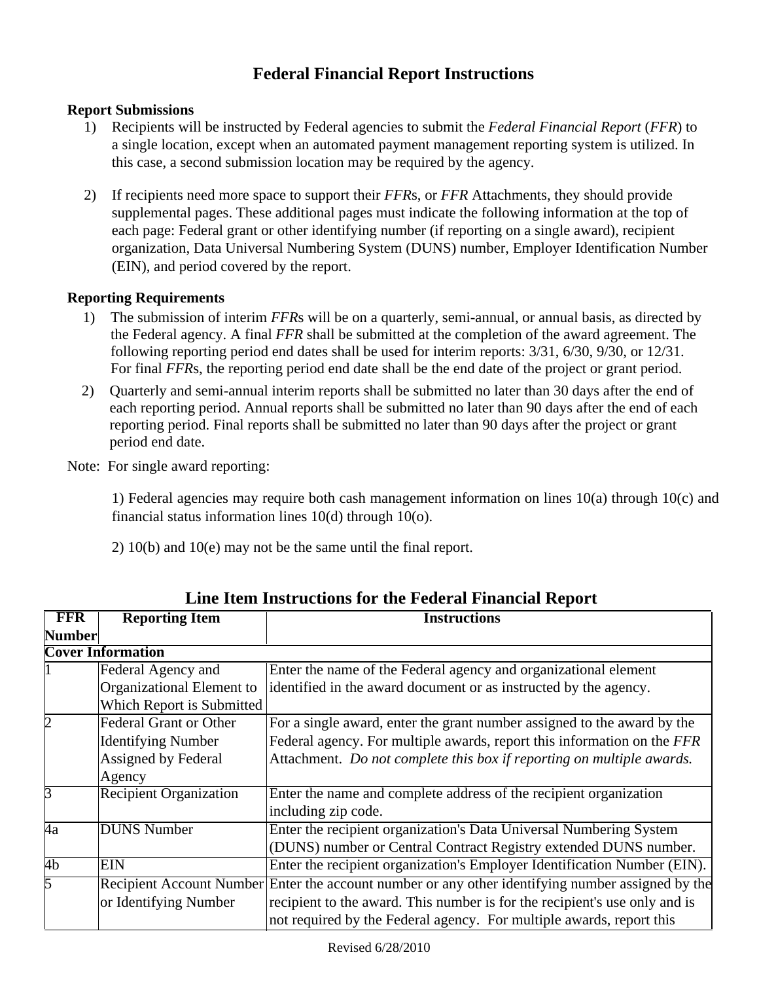## **Federal Financial Report Instructions**

## **Report Submissions**

- 1) Recipients will be instructed by Federal agencies to submit the Federal Financial Report (FFR) to a single location, except when an automated payment management reporting system is utilized. In this case, a second submission location may be required by the agency.
- 2) If recipients need more space to support their FFRs, or FFR Attachments, they should provide supplemental pages. These additional pages must indicate the following information at the top of each page: Federal grant or other identifying number (if reporting on a single award), recipient organization, Data Universal Numbering System (DUNS) number, Employer Identification Number (EIN), and period covered by the report.

## **Reporting Requirements**

- The submission of interim FFRs will be on a quarterly, semi-annual, or annual basis, as directed by  $\left( \frac{1}{2} \right)$ the Federal agency. A final FFR shall be submitted at the completion of the award agreement. The following reporting period end dates shall be used for interim reports: 3/31, 6/30, 9/30, or 12/31. For final FFRs, the reporting period end date shall be the end date of the project or grant period.
- 2) Quarterly and semi-annual interim reports shall be submitted no later than 30 days after the end of each reporting period. Annual reports shall be submitted no later than 90 days after the end of each reporting period. Final reports shall be submitted no later than 90 days after the project or grant period end date.
- Note: For single award reporting:

1) Federal agencies may require both cash management information on lines  $10(a)$  through  $10(c)$  and financial status information lines  $10(d)$  through  $10(o)$ .

 $2) 10(b)$  and  $10(e)$  may not be the same until the final report.

| <b>FFR</b>    | <b>Reporting Item</b>         | <b>Instructions</b>                                                                               |
|---------------|-------------------------------|---------------------------------------------------------------------------------------------------|
| <b>Number</b> |                               |                                                                                                   |
|               | <b>Cover Information</b>      |                                                                                                   |
|               | Federal Agency and            | Enter the name of the Federal agency and organizational element                                   |
|               | Organizational Element to     | identified in the award document or as instructed by the agency.                                  |
|               | Which Report is Submitted     |                                                                                                   |
|               | <b>Federal Grant or Other</b> | For a single award, enter the grant number assigned to the award by the                           |
|               | <b>Identifying Number</b>     | Federal agency. For multiple awards, report this information on the FFR                           |
|               | Assigned by Federal           | Attachment. Do not complete this box if reporting on multiple awards.                             |
|               | Agency                        |                                                                                                   |
|               | <b>Recipient Organization</b> | Enter the name and complete address of the recipient organization                                 |
|               |                               | including zip code.                                                                               |
| 4a            | <b>DUNS Number</b>            | Enter the recipient organization's Data Universal Numbering System                                |
|               |                               | (DUNS) number or Central Contract Registry extended DUNS number.                                  |
| 4b            | <b>EIN</b>                    | Enter the recipient organization's Employer Identification Number (EIN).                          |
| 5             |                               | Recipient Account Number Enter the account number or any other identifying number assigned by the |
|               | or Identifying Number         | recipient to the award. This number is for the recipient's use only and is                        |
|               |                               | not required by the Federal agency. For multiple awards, report this                              |

Line Item Instructions for the Federal Financial Renort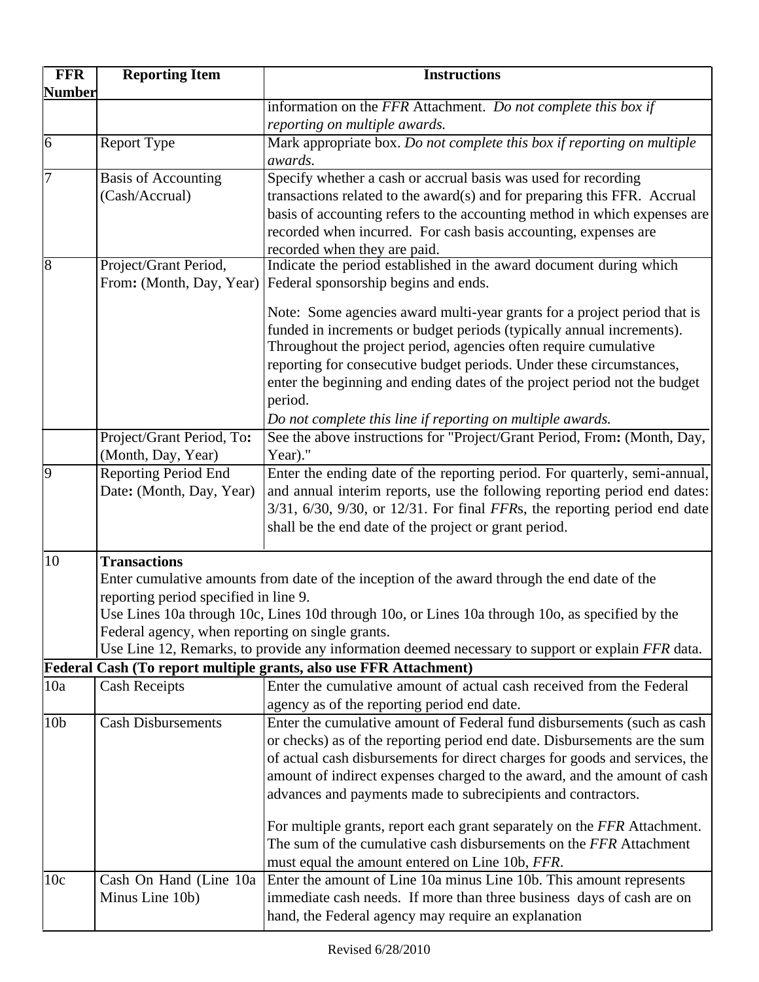| <b>FFR</b>      | <b>Reporting Item</b>                                                                             | <b>Instructions</b>                                                                             |  |  |  |  |
|-----------------|---------------------------------------------------------------------------------------------------|-------------------------------------------------------------------------------------------------|--|--|--|--|
| <b>Number</b>   |                                                                                                   |                                                                                                 |  |  |  |  |
|                 |                                                                                                   | information on the FFR Attachment. Do not complete this box if                                  |  |  |  |  |
|                 |                                                                                                   | reporting on multiple awards.                                                                   |  |  |  |  |
| 6               | Report Type                                                                                       | Mark appropriate box. Do not complete this box if reporting on multiple                         |  |  |  |  |
|                 |                                                                                                   | awards.                                                                                         |  |  |  |  |
| 7               | <b>Basis of Accounting</b>                                                                        | Specify whether a cash or accrual basis was used for recording                                  |  |  |  |  |
|                 | (Cash/Accrual)                                                                                    | transactions related to the award(s) and for preparing this FFR. Accrual                        |  |  |  |  |
|                 |                                                                                                   | basis of accounting refers to the accounting method in which expenses are                       |  |  |  |  |
|                 |                                                                                                   | recorded when incurred. For cash basis accounting, expenses are                                 |  |  |  |  |
|                 |                                                                                                   | recorded when they are paid.                                                                    |  |  |  |  |
| 8               | Project/Grant Period,                                                                             | Indicate the period established in the award document during which                              |  |  |  |  |
|                 | From: (Month, Day, Year)                                                                          | Federal sponsorship begins and ends.                                                            |  |  |  |  |
|                 |                                                                                                   |                                                                                                 |  |  |  |  |
|                 |                                                                                                   | Note: Some agencies award multi-year grants for a project period that is                        |  |  |  |  |
|                 |                                                                                                   | funded in increments or budget periods (typically annual increments).                           |  |  |  |  |
|                 |                                                                                                   | Throughout the project period, agencies often require cumulative                                |  |  |  |  |
|                 |                                                                                                   | reporting for consecutive budget periods. Under these circumstances,                            |  |  |  |  |
|                 |                                                                                                   | enter the beginning and ending dates of the project period not the budget                       |  |  |  |  |
|                 |                                                                                                   | period.                                                                                         |  |  |  |  |
|                 |                                                                                                   | Do not complete this line if reporting on multiple awards.                                      |  |  |  |  |
|                 | Project/Grant Period, To:                                                                         | See the above instructions for "Project/Grant Period, From: (Month, Day,                        |  |  |  |  |
|                 | (Month, Day, Year)                                                                                | Year)."                                                                                         |  |  |  |  |
| 9               | <b>Reporting Period End</b>                                                                       | Enter the ending date of the reporting period. For quarterly, semi-annual,                      |  |  |  |  |
|                 | Date: (Month, Day, Year)                                                                          | and annual interim reports, use the following reporting period end dates:                       |  |  |  |  |
|                 |                                                                                                   | $3/31$ , $6/30$ , $9/30$ , or $12/31$ . For final $FFRs$ , the reporting period end date        |  |  |  |  |
|                 |                                                                                                   | shall be the end date of the project or grant period.                                           |  |  |  |  |
|                 |                                                                                                   |                                                                                                 |  |  |  |  |
| 10              | <b>Transactions</b>                                                                               |                                                                                                 |  |  |  |  |
|                 |                                                                                                   | Enter cumulative amounts from date of the inception of the award through the end date of the    |  |  |  |  |
|                 | reporting period specified in line 9.                                                             |                                                                                                 |  |  |  |  |
|                 |                                                                                                   | Use Lines 10a through 10c, Lines 10d through 10o, or Lines 10a through 10o, as specified by the |  |  |  |  |
|                 | Federal agency, when reporting on single grants.                                                  |                                                                                                 |  |  |  |  |
|                 | Use Line 12, Remarks, to provide any information deemed necessary to support or explain FFR data. |                                                                                                 |  |  |  |  |
|                 |                                                                                                   | Federal Cash (To report multiple grants, also use FFR Attachment)                               |  |  |  |  |
| 10a             | <b>Cash Receipts</b>                                                                              | Enter the cumulative amount of actual cash received from the Federal                            |  |  |  |  |
|                 |                                                                                                   | agency as of the reporting period end date.                                                     |  |  |  |  |
| 10 <sub>b</sub> | <b>Cash Disbursements</b>                                                                         | Enter the cumulative amount of Federal fund disbursements (such as cash                         |  |  |  |  |
|                 |                                                                                                   | or checks) as of the reporting period end date. Disbursements are the sum                       |  |  |  |  |
|                 |                                                                                                   | of actual cash disbursements for direct charges for goods and services, the                     |  |  |  |  |
|                 |                                                                                                   | amount of indirect expenses charged to the award, and the amount of cash                        |  |  |  |  |
|                 |                                                                                                   | advances and payments made to subrecipients and contractors.                                    |  |  |  |  |
|                 |                                                                                                   |                                                                                                 |  |  |  |  |
|                 |                                                                                                   | For multiple grants, report each grant separately on the FFR Attachment.                        |  |  |  |  |
|                 |                                                                                                   | The sum of the cumulative cash disbursements on the FFR Attachment                              |  |  |  |  |
|                 |                                                                                                   | must equal the amount entered on Line 10b, FFR.                                                 |  |  |  |  |
| 10c             | Cash On Hand (Line 10a                                                                            | Enter the amount of Line 10a minus Line 10b. This amount represents                             |  |  |  |  |
|                 | Minus Line 10b)                                                                                   | immediate cash needs. If more than three business days of cash are on                           |  |  |  |  |
|                 |                                                                                                   | hand, the Federal agency may require an explanation                                             |  |  |  |  |
|                 |                                                                                                   |                                                                                                 |  |  |  |  |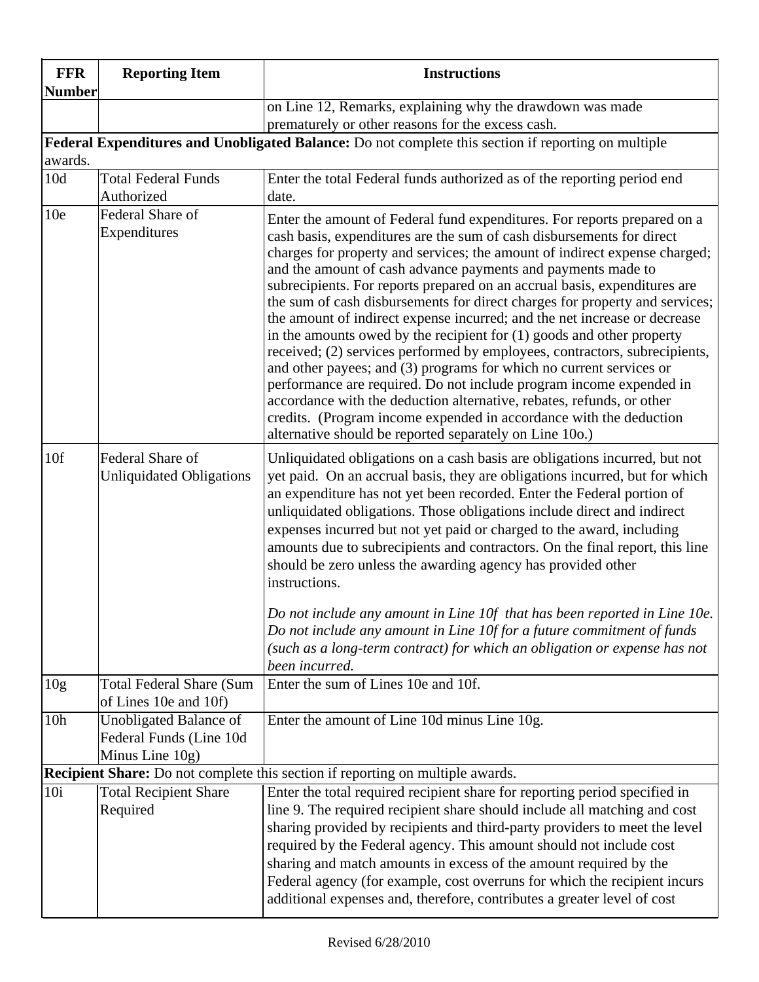| <b>FFR</b><br><b>Reporting Item</b><br><b>Number</b>                           |                                                                             | <b>Instructions</b>                                                                                                                                                                                                                                                                                                                                                                                                                                                                                                                                                                                                                                                                                                                                                                                                                                                                                                                                                                                                                                       |  |  |  |
|--------------------------------------------------------------------------------|-----------------------------------------------------------------------------|-----------------------------------------------------------------------------------------------------------------------------------------------------------------------------------------------------------------------------------------------------------------------------------------------------------------------------------------------------------------------------------------------------------------------------------------------------------------------------------------------------------------------------------------------------------------------------------------------------------------------------------------------------------------------------------------------------------------------------------------------------------------------------------------------------------------------------------------------------------------------------------------------------------------------------------------------------------------------------------------------------------------------------------------------------------|--|--|--|
|                                                                                |                                                                             | on Line 12, Remarks, explaining why the drawdown was made                                                                                                                                                                                                                                                                                                                                                                                                                                                                                                                                                                                                                                                                                                                                                                                                                                                                                                                                                                                                 |  |  |  |
|                                                                                |                                                                             | prematurely or other reasons for the excess cash.                                                                                                                                                                                                                                                                                                                                                                                                                                                                                                                                                                                                                                                                                                                                                                                                                                                                                                                                                                                                         |  |  |  |
| awards.                                                                        |                                                                             | Federal Expenditures and Unobligated Balance: Do not complete this section if reporting on multiple                                                                                                                                                                                                                                                                                                                                                                                                                                                                                                                                                                                                                                                                                                                                                                                                                                                                                                                                                       |  |  |  |
| 10d                                                                            | <b>Total Federal Funds</b><br>Authorized                                    | Enter the total Federal funds authorized as of the reporting period end<br>date.                                                                                                                                                                                                                                                                                                                                                                                                                                                                                                                                                                                                                                                                                                                                                                                                                                                                                                                                                                          |  |  |  |
| 10 <sub>e</sub>                                                                | Federal Share of<br>Expenditures                                            | Enter the amount of Federal fund expenditures. For reports prepared on a<br>cash basis, expenditures are the sum of cash disbursements for direct<br>charges for property and services; the amount of indirect expense charged;<br>and the amount of cash advance payments and payments made to<br>subrecipients. For reports prepared on an accrual basis, expenditures are<br>the sum of cash disbursements for direct charges for property and services;<br>the amount of indirect expense incurred; and the net increase or decrease<br>in the amounts owed by the recipient for $(1)$ goods and other property<br>received; (2) services performed by employees, contractors, subrecipients,<br>and other payees; and (3) programs for which no current services or<br>performance are required. Do not include program income expended in<br>accordance with the deduction alternative, rebates, refunds, or other<br>credits. (Program income expended in accordance with the deduction<br>alternative should be reported separately on Line 10o.) |  |  |  |
| 10f                                                                            | Federal Share of<br><b>Unliquidated Obligations</b>                         | Unliquidated obligations on a cash basis are obligations incurred, but not<br>yet paid. On an accrual basis, they are obligations incurred, but for which<br>an expenditure has not yet been recorded. Enter the Federal portion of<br>unliquidated obligations. Those obligations include direct and indirect<br>expenses incurred but not yet paid or charged to the award, including<br>amounts due to subrecipients and contractors. On the final report, this line<br>should be zero unless the awarding agency has provided other<br>instructions.                                                                                                                                                                                                                                                                                                                                                                                                                                                                                                  |  |  |  |
|                                                                                |                                                                             | Do not include any amount in Line 10f that has been reported in Line 10e.<br>Do not include any amount in Line 10f for a future commitment of funds<br>(such as a long-term contract) for which an obligation or expense has not<br>been incurred.                                                                                                                                                                                                                                                                                                                                                                                                                                                                                                                                                                                                                                                                                                                                                                                                        |  |  |  |
| 10 <sub>g</sub>                                                                | <b>Total Federal Share (Sum</b><br>of Lines 10e and 10f)                    | Enter the sum of Lines 10e and 10f.                                                                                                                                                                                                                                                                                                                                                                                                                                                                                                                                                                                                                                                                                                                                                                                                                                                                                                                                                                                                                       |  |  |  |
| 10 <sub>h</sub>                                                                | <b>Unobligated Balance of</b><br>Federal Funds (Line 10d<br>Minus Line 10g) | Enter the amount of Line 10d minus Line 10g.                                                                                                                                                                                                                                                                                                                                                                                                                                                                                                                                                                                                                                                                                                                                                                                                                                                                                                                                                                                                              |  |  |  |
| Recipient Share: Do not complete this section if reporting on multiple awards. |                                                                             |                                                                                                                                                                                                                                                                                                                                                                                                                                                                                                                                                                                                                                                                                                                                                                                                                                                                                                                                                                                                                                                           |  |  |  |
| 10i                                                                            | <b>Total Recipient Share</b><br>Required                                    | Enter the total required recipient share for reporting period specified in<br>line 9. The required recipient share should include all matching and cost<br>sharing provided by recipients and third-party providers to meet the level<br>required by the Federal agency. This amount should not include cost<br>sharing and match amounts in excess of the amount required by the<br>Federal agency (for example, cost overruns for which the recipient incurs<br>additional expenses and, therefore, contributes a greater level of cost                                                                                                                                                                                                                                                                                                                                                                                                                                                                                                                 |  |  |  |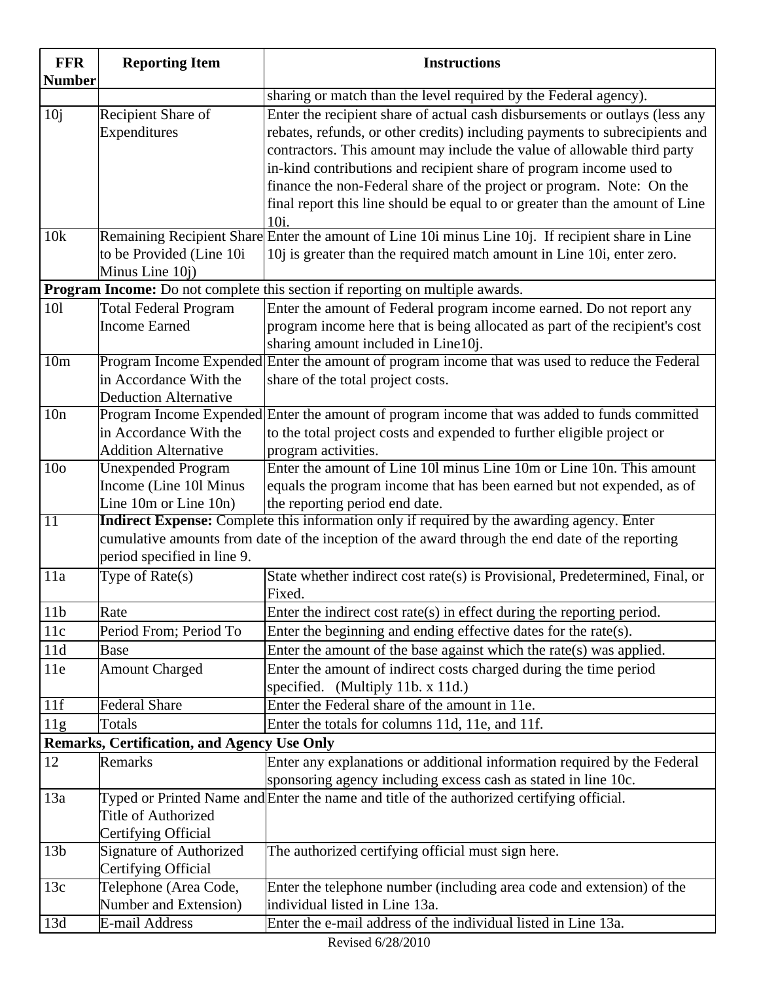| <b>FFR</b><br><b>Number</b> | <b>Reporting Item</b>                                                                                                                                                                                                         | <b>Instructions</b>                                                                                                                                                                                                                                                                                                                                                                                                                                                   |  |  |
|-----------------------------|-------------------------------------------------------------------------------------------------------------------------------------------------------------------------------------------------------------------------------|-----------------------------------------------------------------------------------------------------------------------------------------------------------------------------------------------------------------------------------------------------------------------------------------------------------------------------------------------------------------------------------------------------------------------------------------------------------------------|--|--|
|                             |                                                                                                                                                                                                                               | sharing or match than the level required by the Federal agency).                                                                                                                                                                                                                                                                                                                                                                                                      |  |  |
| 10j                         | Recipient Share of<br>Expenditures                                                                                                                                                                                            | Enter the recipient share of actual cash disbursements or outlays (less any<br>rebates, refunds, or other credits) including payments to subrecipients and<br>contractors. This amount may include the value of allowable third party<br>in-kind contributions and recipient share of program income used to<br>finance the non-Federal share of the project or program. Note: On the<br>final report this line should be equal to or greater than the amount of Line |  |  |
| 10k                         |                                                                                                                                                                                                                               | 10i.<br>Remaining Recipient Share Enter the amount of Line 10i minus Line 10j. If recipient share in Line                                                                                                                                                                                                                                                                                                                                                             |  |  |
|                             | to be Provided (Line 10i<br>Minus Line 10j)                                                                                                                                                                                   | 10j is greater than the required match amount in Line 10i, enter zero.                                                                                                                                                                                                                                                                                                                                                                                                |  |  |
|                             |                                                                                                                                                                                                                               | <b>Program Income:</b> Do not complete this section if reporting on multiple awards.                                                                                                                                                                                                                                                                                                                                                                                  |  |  |
| 101                         | <b>Total Federal Program</b><br><b>Income Earned</b>                                                                                                                                                                          | Enter the amount of Federal program income earned. Do not report any<br>program income here that is being allocated as part of the recipient's cost<br>sharing amount included in Line10j.                                                                                                                                                                                                                                                                            |  |  |
| 10m                         | in Accordance With the<br><b>Deduction Alternative</b>                                                                                                                                                                        | Program Income Expended Enter the amount of program income that was used to reduce the Federal<br>share of the total project costs.                                                                                                                                                                                                                                                                                                                                   |  |  |
| 10n                         | in Accordance With the<br><b>Addition Alternative</b>                                                                                                                                                                         | Program Income Expended Enter the amount of program income that was added to funds committed<br>to the total project costs and expended to further eligible project or<br>program activities.                                                                                                                                                                                                                                                                         |  |  |
| 10 <sub>o</sub>             | <b>Unexpended Program</b><br>Income (Line 101 Minus<br>Line $10m$ or Line $10n$ )                                                                                                                                             | Enter the amount of Line 101 minus Line 10m or Line 10n. This amount<br>equals the program income that has been earned but not expended, as of<br>the reporting period end date.                                                                                                                                                                                                                                                                                      |  |  |
| $\overline{11}$             | Indirect Expense: Complete this information only if required by the awarding agency. Enter<br>cumulative amounts from date of the inception of the award through the end date of the reporting<br>period specified in line 9. |                                                                                                                                                                                                                                                                                                                                                                                                                                                                       |  |  |
| 11a                         | Type of $Rate(s)$                                                                                                                                                                                                             | State whether indirect cost rate(s) is Provisional, Predetermined, Final, or<br>Fixed.                                                                                                                                                                                                                                                                                                                                                                                |  |  |
| 11 <sub>b</sub>             | Rate                                                                                                                                                                                                                          | Enter the indirect cost rate(s) in effect during the reporting period.                                                                                                                                                                                                                                                                                                                                                                                                |  |  |
| 11c                         | Period From; Period To                                                                                                                                                                                                        | Enter the beginning and ending effective dates for the rate(s).                                                                                                                                                                                                                                                                                                                                                                                                       |  |  |
| 11d                         | Base                                                                                                                                                                                                                          | Enter the amount of the base against which the rate(s) was applied.                                                                                                                                                                                                                                                                                                                                                                                                   |  |  |
| 11e                         | <b>Amount Charged</b>                                                                                                                                                                                                         | Enter the amount of indirect costs charged during the time period<br>specified. (Multiply 11b. x 11d.)                                                                                                                                                                                                                                                                                                                                                                |  |  |
| 11f                         | <b>Federal Share</b>                                                                                                                                                                                                          | Enter the Federal share of the amount in 11e.                                                                                                                                                                                                                                                                                                                                                                                                                         |  |  |
| 11g                         | <b>Totals</b>                                                                                                                                                                                                                 | Enter the totals for columns 11d, 11e, and 11f.                                                                                                                                                                                                                                                                                                                                                                                                                       |  |  |
|                             | <b>Remarks, Certification, and Agency Use Only</b>                                                                                                                                                                            |                                                                                                                                                                                                                                                                                                                                                                                                                                                                       |  |  |
| 12                          | Remarks                                                                                                                                                                                                                       | Enter any explanations or additional information required by the Federal<br>sponsoring agency including excess cash as stated in line 10c.                                                                                                                                                                                                                                                                                                                            |  |  |
| 13a                         | Title of Authorized<br>Certifying Official                                                                                                                                                                                    | Typed or Printed Name and Enter the name and title of the authorized certifying official.                                                                                                                                                                                                                                                                                                                                                                             |  |  |
| 13 <sub>b</sub>             | Signature of Authorized<br>Certifying Official                                                                                                                                                                                | The authorized certifying official must sign here.                                                                                                                                                                                                                                                                                                                                                                                                                    |  |  |
| 13c                         | Telephone (Area Code,<br>Number and Extension)                                                                                                                                                                                | Enter the telephone number (including area code and extension) of the<br>individual listed in Line 13a.                                                                                                                                                                                                                                                                                                                                                               |  |  |
| 13d                         | <b>E-mail Address</b>                                                                                                                                                                                                         | Enter the e-mail address of the individual listed in Line 13a.                                                                                                                                                                                                                                                                                                                                                                                                        |  |  |